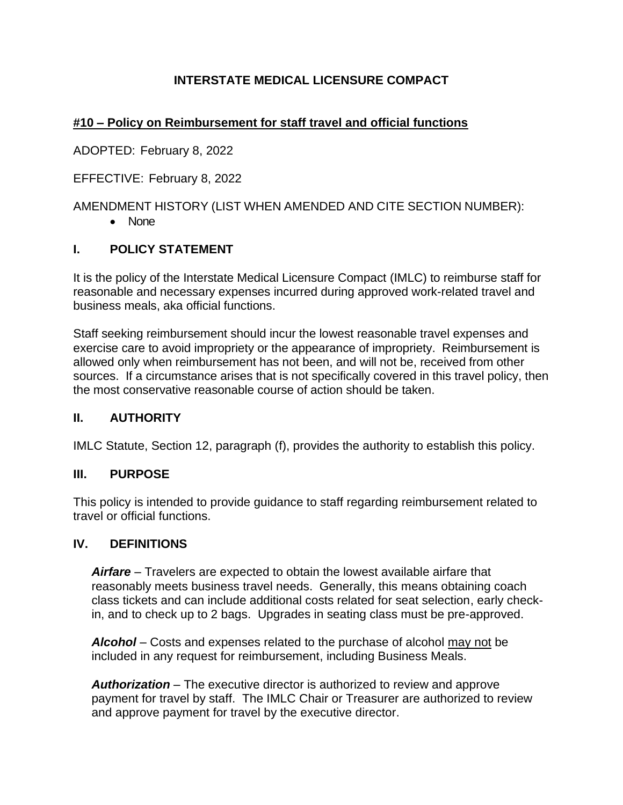# **INTERSTATE MEDICAL LICENSURE COMPACT**

# **#10 – Policy on Reimbursement for staff travel and official functions**

ADOPTED: February 8, 2022

EFFECTIVE: February 8, 2022

AMENDMENT HISTORY (LIST WHEN AMENDED AND CITE SECTION NUMBER):

• None

## **I. POLICY STATEMENT**

It is the policy of the Interstate Medical Licensure Compact (IMLC) to reimburse staff for reasonable and necessary expenses incurred during approved work-related travel and business meals, aka official functions.

Staff seeking reimbursement should incur the lowest reasonable travel expenses and exercise care to avoid impropriety or the appearance of impropriety. Reimbursement is allowed only when reimbursement has not been, and will not be, received from other sources. If a circumstance arises that is not specifically covered in this travel policy, then the most conservative reasonable course of action should be taken.

#### **II. AUTHORITY**

IMLC Statute, Section 12, paragraph (f), provides the authority to establish this policy.

#### **III. PURPOSE**

This policy is intended to provide guidance to staff regarding reimbursement related to travel or official functions.

#### **IV. DEFINITIONS**

*Airfare* – Travelers are expected to obtain the lowest available airfare that reasonably meets business travel needs. Generally, this means obtaining coach class tickets and can include additional costs related for seat selection, early checkin, and to check up to 2 bags. Upgrades in seating class must be pre-approved.

*Alcohol* – Costs and expenses related to the purchase of alcohol may not be included in any request for reimbursement, including Business Meals.

*Authorization* – The executive director is authorized to review and approve payment for travel by staff. The IMLC Chair or Treasurer are authorized to review and approve payment for travel by the executive director.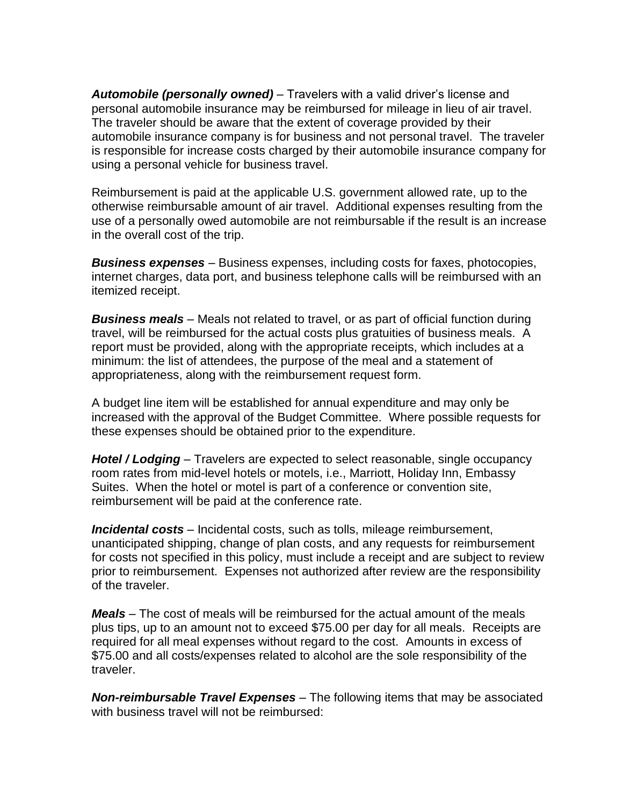*Automobile (personally owned)* – Travelers with a valid driver's license and personal automobile insurance may be reimbursed for mileage in lieu of air travel. The traveler should be aware that the extent of coverage provided by their automobile insurance company is for business and not personal travel. The traveler is responsible for increase costs charged by their automobile insurance company for using a personal vehicle for business travel.

Reimbursement is paid at the applicable U.S. government allowed rate, up to the otherwise reimbursable amount of air travel. Additional expenses resulting from the use of a personally owed automobile are not reimbursable if the result is an increase in the overall cost of the trip.

*Business expenses* – Business expenses, including costs for faxes, photocopies, internet charges, data port, and business telephone calls will be reimbursed with an itemized receipt.

*Business meals* – Meals not related to travel, or as part of official function during travel, will be reimbursed for the actual costs plus gratuities of business meals. A report must be provided, along with the appropriate receipts, which includes at a minimum: the list of attendees, the purpose of the meal and a statement of appropriateness, along with the reimbursement request form.

A budget line item will be established for annual expenditure and may only be increased with the approval of the Budget Committee. Where possible requests for these expenses should be obtained prior to the expenditure.

*Hotel / Lodging* – Travelers are expected to select reasonable, single occupancy room rates from mid-level hotels or motels, i.e., Marriott, Holiday Inn, Embassy Suites. When the hotel or motel is part of a conference or convention site, reimbursement will be paid at the conference rate.

*Incidental costs* – Incidental costs, such as tolls, mileage reimbursement, unanticipated shipping, change of plan costs, and any requests for reimbursement for costs not specified in this policy, must include a receipt and are subject to review prior to reimbursement. Expenses not authorized after review are the responsibility of the traveler.

*Meals* – The cost of meals will be reimbursed for the actual amount of the meals plus tips, up to an amount not to exceed \$75.00 per day for all meals. Receipts are required for all meal expenses without regard to the cost. Amounts in excess of \$75.00 and all costs/expenses related to alcohol are the sole responsibility of the traveler.

*Non-reimbursable Travel Expenses* – The following items that may be associated with business travel will not be reimbursed: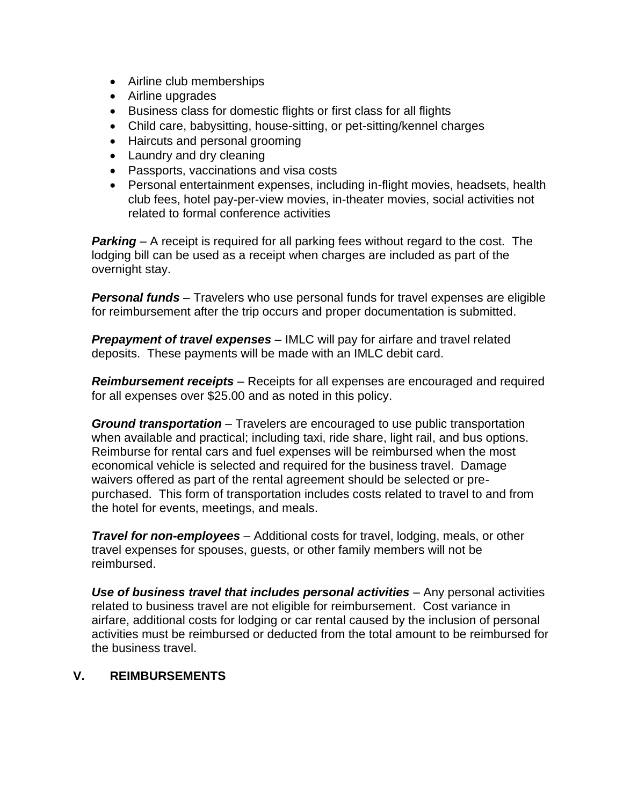- Airline club memberships
- Airline upgrades
- Business class for domestic flights or first class for all flights
- Child care, babysitting, house-sitting, or pet-sitting/kennel charges
- Haircuts and personal grooming
- Laundry and dry cleaning
- Passports, vaccinations and visa costs
- Personal entertainment expenses, including in-flight movies, headsets, health club fees, hotel pay-per-view movies, in-theater movies, social activities not related to formal conference activities

*Parking* – A receipt is required for all parking fees without regard to the cost. The lodging bill can be used as a receipt when charges are included as part of the overnight stay.

*Personal funds* – Travelers who use personal funds for travel expenses are eligible for reimbursement after the trip occurs and proper documentation is submitted.

*Prepayment of travel expenses* – IMLC will pay for airfare and travel related deposits. These payments will be made with an IMLC debit card.

*Reimbursement receipts* – Receipts for all expenses are encouraged and required for all expenses over \$25.00 and as noted in this policy.

*Ground transportation* – Travelers are encouraged to use public transportation when available and practical; including taxi, ride share, light rail, and bus options. Reimburse for rental cars and fuel expenses will be reimbursed when the most economical vehicle is selected and required for the business travel. Damage waivers offered as part of the rental agreement should be selected or prepurchased. This form of transportation includes costs related to travel to and from the hotel for events, meetings, and meals.

*Travel for non-employees* – Additional costs for travel, lodging, meals, or other travel expenses for spouses, guests, or other family members will not be reimbursed.

*Use of business travel that includes personal activities* – Any personal activities related to business travel are not eligible for reimbursement. Cost variance in airfare, additional costs for lodging or car rental caused by the inclusion of personal activities must be reimbursed or deducted from the total amount to be reimbursed for the business travel.

#### **V. REIMBURSEMENTS**